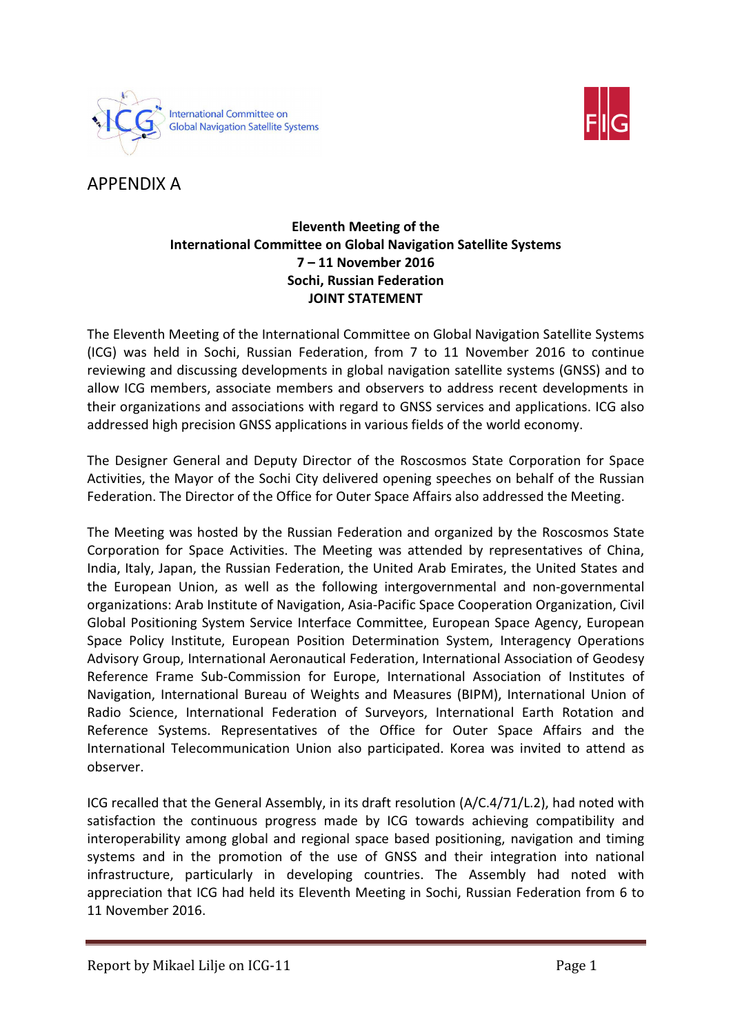



APPENDIX A

## Eleventh Meeting of the International Committee on Global Navigation Satellite Systems 7 – 11 November 2016 Sochi, Russian Federation JOINT STATEMENT

The Eleventh Meeting of the International Committee on Global Navigation Satellite Systems (ICG) was held in Sochi, Russian Federation, from 7 to 11 November 2016 to continue reviewing and discussing developments in global navigation satellite systems (GNSS) and to allow ICG members, associate members and observers to address recent developments in their organizations and associations with regard to GNSS services and applications. ICG also addressed high precision GNSS applications in various fields of the world economy.

The Designer General and Deputy Director of the Roscosmos State Corporation for Space Activities, the Mayor of the Sochi City delivered opening speeches on behalf of the Russian Federation. The Director of the Office for Outer Space Affairs also addressed the Meeting.

The Meeting was hosted by the Russian Federation and organized by the Roscosmos State Corporation for Space Activities. The Meeting was attended by representatives of China, India, Italy, Japan, the Russian Federation, the United Arab Emirates, the United States and the European Union, as well as the following intergovernmental and non-governmental organizations: Arab Institute of Navigation, Asia-Pacific Space Cooperation Organization, Civil Global Positioning System Service Interface Committee, European Space Agency, European Space Policy Institute, European Position Determination System, Interagency Operations Advisory Group, International Aeronautical Federation, International Association of Geodesy Reference Frame Sub-Commission for Europe, International Association of Institutes of Navigation, International Bureau of Weights and Measures (BIPM), International Union of Radio Science, International Federation of Surveyors, International Earth Rotation and Reference Systems. Representatives of the Office for Outer Space Affairs and the International Telecommunication Union also participated. Korea was invited to attend as observer.

ICG recalled that the General Assembly, in its draft resolution (A/C.4/71/L.2), had noted with satisfaction the continuous progress made by ICG towards achieving compatibility and interoperability among global and regional space based positioning, navigation and timing systems and in the promotion of the use of GNSS and their integration into national infrastructure, particularly in developing countries. The Assembly had noted with appreciation that ICG had held its Eleventh Meeting in Sochi, Russian Federation from 6 to 11 November 2016.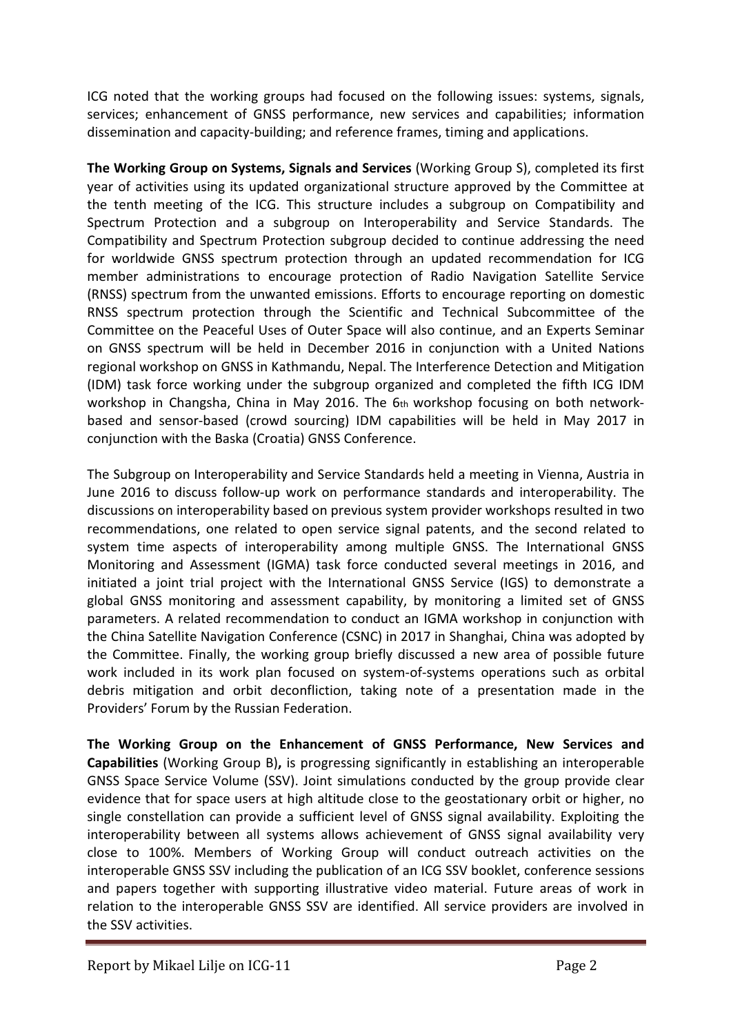ICG noted that the working groups had focused on the following issues: systems, signals, services; enhancement of GNSS performance, new services and capabilities; information dissemination and capacity-building; and reference frames, timing and applications.

The Working Group on Systems, Signals and Services (Working Group S), completed its first year of activities using its updated organizational structure approved by the Committee at the tenth meeting of the ICG. This structure includes a subgroup on Compatibility and Spectrum Protection and a subgroup on Interoperability and Service Standards. The Compatibility and Spectrum Protection subgroup decided to continue addressing the need for worldwide GNSS spectrum protection through an updated recommendation for ICG member administrations to encourage protection of Radio Navigation Satellite Service (RNSS) spectrum from the unwanted emissions. Efforts to encourage reporting on domestic RNSS spectrum protection through the Scientific and Technical Subcommittee of the Committee on the Peaceful Uses of Outer Space will also continue, and an Experts Seminar on GNSS spectrum will be held in December 2016 in conjunction with a United Nations regional workshop on GNSS in Kathmandu, Nepal. The Interference Detection and Mitigation (IDM) task force working under the subgroup organized and completed the fifth ICG IDM workshop in Changsha, China in May 2016. The 6th workshop focusing on both networkbased and sensor-based (crowd sourcing) IDM capabilities will be held in May 2017 in conjunction with the Baska (Croatia) GNSS Conference.

The Subgroup on Interoperability and Service Standards held a meeting in Vienna, Austria in June 2016 to discuss follow-up work on performance standards and interoperability. The discussions on interoperability based on previous system provider workshops resulted in two recommendations, one related to open service signal patents, and the second related to system time aspects of interoperability among multiple GNSS. The International GNSS Monitoring and Assessment (IGMA) task force conducted several meetings in 2016, and initiated a joint trial project with the International GNSS Service (IGS) to demonstrate a global GNSS monitoring and assessment capability, by monitoring a limited set of GNSS parameters. A related recommendation to conduct an IGMA workshop in conjunction with the China Satellite Navigation Conference (CSNC) in 2017 in Shanghai, China was adopted by the Committee. Finally, the working group briefly discussed a new area of possible future work included in its work plan focused on system-of-systems operations such as orbital debris mitigation and orbit deconfliction, taking note of a presentation made in the Providers' Forum by the Russian Federation.

The Working Group on the Enhancement of GNSS Performance, New Services and Capabilities (Working Group B), is progressing significantly in establishing an interoperable GNSS Space Service Volume (SSV). Joint simulations conducted by the group provide clear evidence that for space users at high altitude close to the geostationary orbit or higher, no single constellation can provide a sufficient level of GNSS signal availability. Exploiting the interoperability between all systems allows achievement of GNSS signal availability very close to 100%. Members of Working Group will conduct outreach activities on the interoperable GNSS SSV including the publication of an ICG SSV booklet, conference sessions and papers together with supporting illustrative video material. Future areas of work in relation to the interoperable GNSS SSV are identified. All service providers are involved in the SSV activities.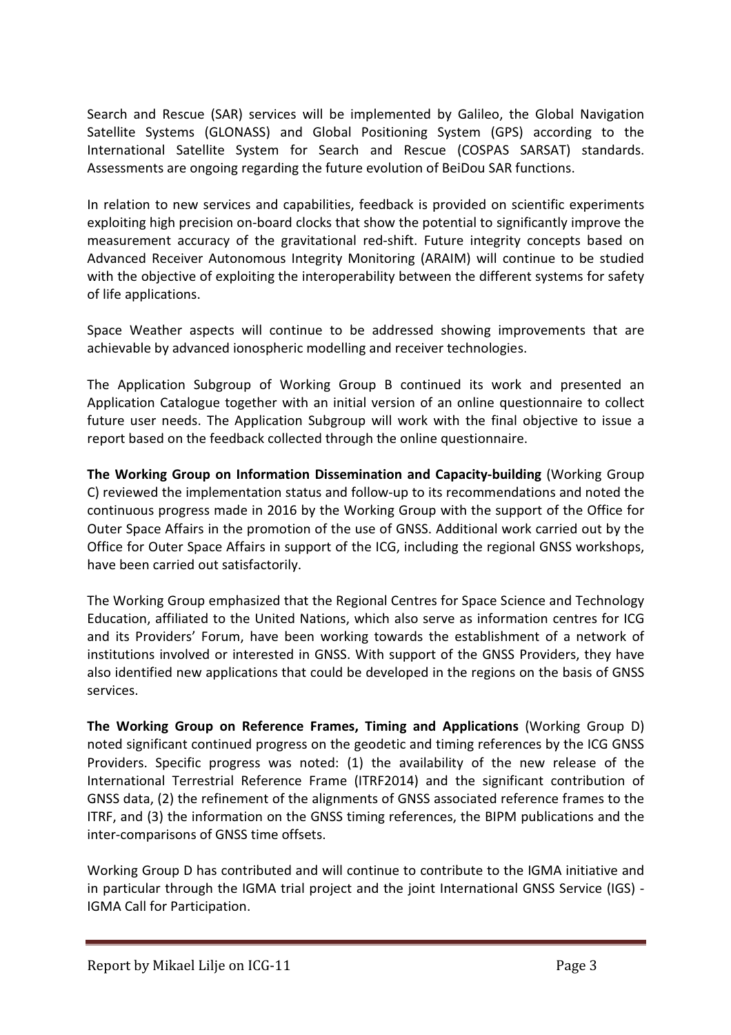Search and Rescue (SAR) services will be implemented by Galileo, the Global Navigation Satellite Systems (GLONASS) and Global Positioning System (GPS) according to the International Satellite System for Search and Rescue (COSPAS SARSAT) standards. Assessments are ongoing regarding the future evolution of BeiDou SAR functions.

In relation to new services and capabilities, feedback is provided on scientific experiments exploiting high precision on-board clocks that show the potential to significantly improve the measurement accuracy of the gravitational red-shift. Future integrity concepts based on Advanced Receiver Autonomous Integrity Monitoring (ARAIM) will continue to be studied with the objective of exploiting the interoperability between the different systems for safety of life applications.

Space Weather aspects will continue to be addressed showing improvements that are achievable by advanced ionospheric modelling and receiver technologies.

The Application Subgroup of Working Group B continued its work and presented an Application Catalogue together with an initial version of an online questionnaire to collect future user needs. The Application Subgroup will work with the final objective to issue a report based on the feedback collected through the online questionnaire.

The Working Group on Information Dissemination and Capacity-building (Working Group C) reviewed the implementation status and follow-up to its recommendations and noted the continuous progress made in 2016 by the Working Group with the support of the Office for Outer Space Affairs in the promotion of the use of GNSS. Additional work carried out by the Office for Outer Space Affairs in support of the ICG, including the regional GNSS workshops, have been carried out satisfactorily.

The Working Group emphasized that the Regional Centres for Space Science and Technology Education, affiliated to the United Nations, which also serve as information centres for ICG and its Providers' Forum, have been working towards the establishment of a network of institutions involved or interested in GNSS. With support of the GNSS Providers, they have also identified new applications that could be developed in the regions on the basis of GNSS services.

The Working Group on Reference Frames, Timing and Applications (Working Group D) noted significant continued progress on the geodetic and timing references by the ICG GNSS Providers. Specific progress was noted: (1) the availability of the new release of the International Terrestrial Reference Frame (ITRF2014) and the significant contribution of GNSS data, (2) the refinement of the alignments of GNSS associated reference frames to the ITRF, and (3) the information on the GNSS timing references, the BIPM publications and the inter-comparisons of GNSS time offsets.

Working Group D has contributed and will continue to contribute to the IGMA initiative and in particular through the IGMA trial project and the joint International GNSS Service (IGS) - IGMA Call for Participation.